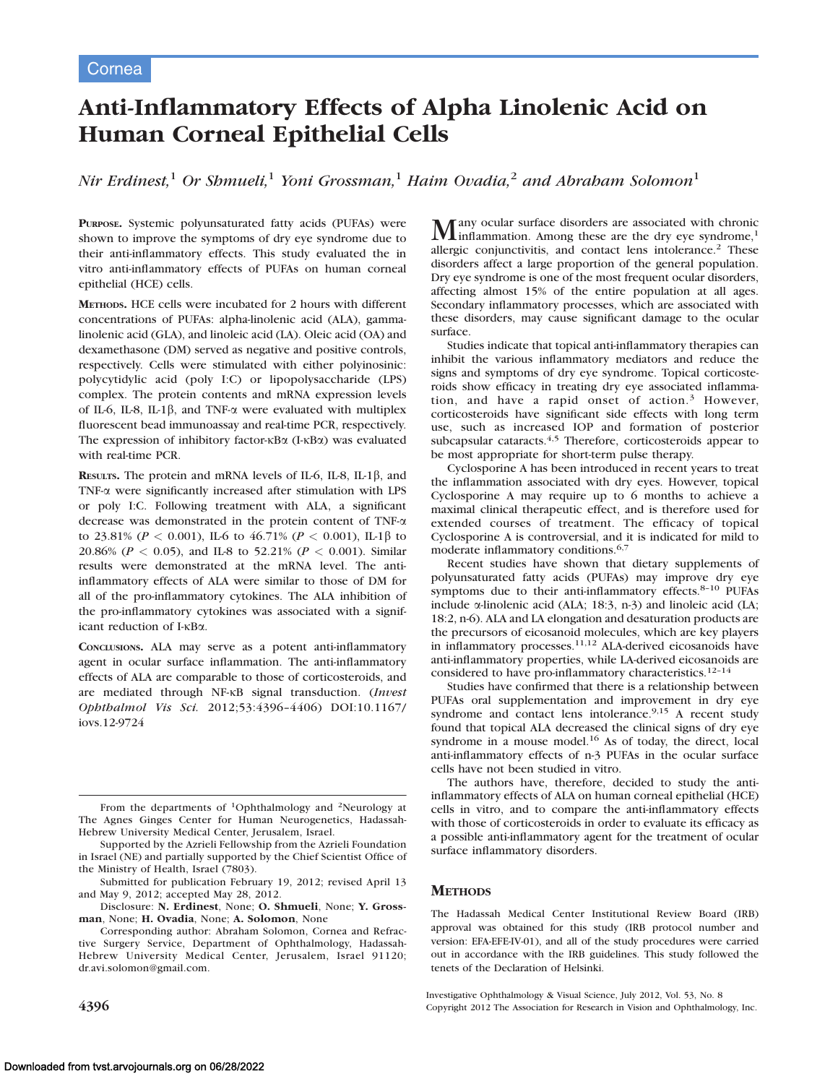# Anti-Inflammatory Effects of Alpha Linolenic Acid on Human Corneal Epithelial Cells

Nir Erdinest,<sup>1</sup> Or Shmueli,<sup>1</sup> Yoni Grossman,<sup>1</sup> Haim Ovadia,<sup>2</sup> and Abraham Solomon<sup>1</sup>

PURPOSE. Systemic polyunsaturated fatty acids (PUFAs) were shown to improve the symptoms of dry eye syndrome due to their anti-inflammatory effects. This study evaluated the in vitro anti-inflammatory effects of PUFAs on human corneal epithelial (HCE) cells.

METHODS. HCE cells were incubated for 2 hours with different concentrations of PUFAs: alpha-linolenic acid (ALA), gammalinolenic acid (GLA), and linoleic acid (LA). Oleic acid (OA) and dexamethasone (DM) served as negative and positive controls, respectively. Cells were stimulated with either polyinosinic: polycytidylic acid (poly I:C) or lipopolysaccharide (LPS) complex. The protein contents and mRNA expression levels of IL-6, IL-8, IL-1 $\beta$ , and TNF- $\alpha$  were evaluated with multiplex fluorescent bead immunoassay and real-time PCR, respectively. The expression of inhibitory factor- $\kappa$ B $\alpha$  (I- $\kappa$ B $\alpha$ ) was evaluated with real-time PCR.

RESULTS. The protein and mRNA levels of IL-6, IL-8, IL-1 $\beta$ , and TNF-a were significantly increased after stimulation with LPS or poly I:C. Following treatment with ALA, a significant decrease was demonstrated in the protein content of TNF-a to 23.81% ( $P < 0.001$ ), IL-6 to 46.71% ( $P < 0.001$ ), IL-1 $\beta$  to 20.86% ( $P < 0.05$ ), and IL-8 to 52.21% ( $P < 0.001$ ). Similar results were demonstrated at the mRNA level. The antiinflammatory effects of ALA were similar to those of DM for all of the pro-inflammatory cytokines. The ALA inhibition of the pro-inflammatory cytokines was associated with a significant reduction of I- $\kappa$ B $\alpha$ .

CONCLUSIONS. ALA may serve as a potent anti-inflammatory agent in ocular surface inflammation. The anti-inflammatory effects of ALA are comparable to those of corticosteroids, and are mediated through NF-KB signal transduction. (Invest Ophthalmol Vis Sci. 2012;53:4396–4406) DOI:10.1167/ iovs.12-9724

From the departments of 1Ophthalmology and 2Neurology at The Agnes Ginges Center for Human Neurogenetics, Hadassah-Hebrew University Medical Center, Jerusalem, Israel.

Supported by the Azrieli Fellowship from the Azrieli Foundation in Israel (NE) and partially supported by the Chief Scientist Office of the Ministry of Health, Israel (7803).

Submitted for publication February 19, 2012; revised April 13 and May 9, 2012; accepted May 28, 2012.

Disclosure: N. Erdinest, None; O. Shmueli, None; Y. Grossman, None; H. Ovadia, None; A. Solomon, None

Corresponding author: Abraham Solomon, Cornea and Refractive Surgery Service, Department of Ophthalmology, Hadassah-Hebrew University Medical Center, Jerusalem, Israel 91120; dr.avi.solomon@gmail.com.

**Many ocular surface disorders are associated with chronic**<br>inflammation. Among these are the dry eye syndrome,<sup>1</sup> allergic conjunctivitis, and contact lens intolerance.<sup>2</sup> These disorders affect a large proportion of the general population. Dry eye syndrome is one of the most frequent ocular disorders, affecting almost 15% of the entire population at all ages. Secondary inflammatory processes, which are associated with these disorders, may cause significant damage to the ocular surface.

Studies indicate that topical anti-inflammatory therapies can inhibit the various inflammatory mediators and reduce the signs and symptoms of dry eye syndrome. Topical corticosteroids show efficacy in treating dry eye associated inflammation, and have a rapid onset of action.<sup>3</sup> However, corticosteroids have significant side effects with long term use, such as increased IOP and formation of posterior subcapsular cataracts.<sup>4,5</sup> Therefore, corticosteroids appear to be most appropriate for short-term pulse therapy.

Cyclosporine A has been introduced in recent years to treat the inflammation associated with dry eyes. However, topical Cyclosporine A may require up to 6 months to achieve a maximal clinical therapeutic effect, and is therefore used for extended courses of treatment. The efficacy of topical Cyclosporine A is controversial, and it is indicated for mild to moderate inflammatory conditions.6,7

Recent studies have shown that dietary supplements of polyunsaturated fatty acids (PUFAs) may improve dry eye symptoms due to their anti-inflammatory effects.<sup>8-10</sup> PUFAs include a-linolenic acid (ALA; 18:3, n-3) and linoleic acid (LA; 18:2, n-6). ALA and LA elongation and desaturation products are the precursors of eicosanoid molecules, which are key players in inflammatory processes.<sup>11,12</sup> ALA-derived eicosanoids have anti-inflammatory properties, while LA-derived eicosanoids are considered to have pro-inflammatory characteristics.<sup>12-14</sup>

Studies have confirmed that there is a relationship between PUFAs oral supplementation and improvement in dry eye syndrome and contact lens intolerance.<sup>9,15</sup> A recent study found that topical ALA decreased the clinical signs of dry eye syndrome in a mouse model.<sup>16</sup> As of today, the direct, local anti-inflammatory effects of n-3 PUFAs in the ocular surface cells have not been studied in vitro.

The authors have, therefore, decided to study the antiinflammatory effects of ALA on human corneal epithelial (HCE) cells in vitro, and to compare the anti-inflammatory effects with those of corticosteroids in order to evaluate its efficacy as a possible anti-inflammatory agent for the treatment of ocular surface inflammatory disorders.

## **METHODS**

The Hadassah Medical Center Institutional Review Board (IRB) approval was obtained for this study (IRB protocol number and version: EFA-EFE-IV-01), and all of the study procedures were carried out in accordance with the IRB guidelines. This study followed the tenets of the Declaration of Helsinki.

Investigative Ophthalmology & Visual Science, July 2012, Vol. 53, No. 8 4396 Copyright 2012 The Association for Research in Vision and Ophthalmology, Inc.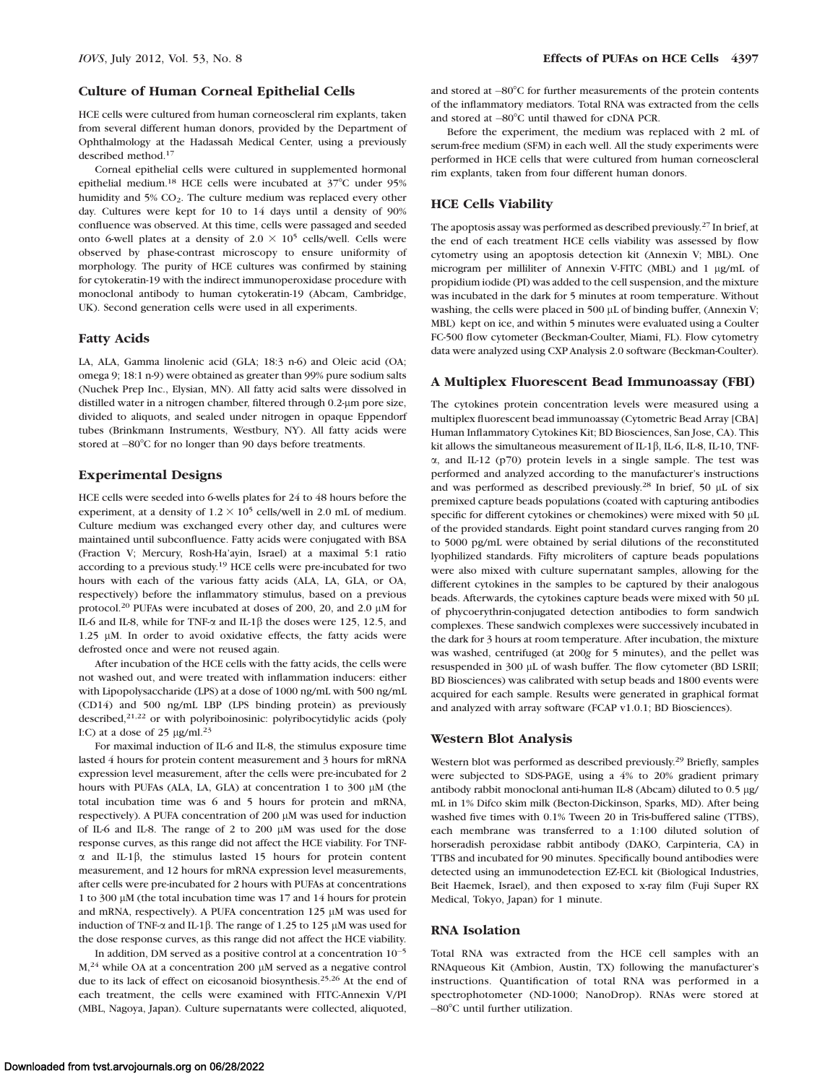#### Culture of Human Corneal Epithelial Cells

HCE cells were cultured from human corneoscleral rim explants, taken from several different human donors, provided by the Department of Ophthalmology at the Hadassah Medical Center, using a previously described method.17

Corneal epithelial cells were cultured in supplemented hormonal epithelial medium.<sup>18</sup> HCE cells were incubated at 37°C under 95% humidity and 5% CO<sub>2</sub>. The culture medium was replaced every other day. Cultures were kept for 10 to 14 days until a density of 90% confluence was observed. At this time, cells were passaged and seeded onto 6-well plates at a density of  $2.0 \times 10^5$  cells/well. Cells were observed by phase-contrast microscopy to ensure uniformity of morphology. The purity of HCE cultures was confirmed by staining for cytokeratin-19 with the indirect immunoperoxidase procedure with monoclonal antibody to human cytokeratin-19 (Abcam, Cambridge, UK). Second generation cells were used in all experiments.

#### Fatty Acids

LA, ALA, Gamma linolenic acid (GLA; 18:3 n-6) and Oleic acid (OA; omega 9; 18:1 n-9) were obtained as greater than 99% pure sodium salts (Nuchek Prep Inc., Elysian, MN). All fatty acid salts were dissolved in distilled water in a nitrogen chamber, filtered through 0.2-µm pore size, divided to aliquots, and sealed under nitrogen in opaque Eppendorf tubes (Brinkmann Instruments, Westbury, NY). All fatty acids were stored at -80°C for no longer than 90 days before treatments.

# Experimental Designs

HCE cells were seeded into 6-wells plates for 24 to 48 hours before the experiment, at a density of  $1.2 \times 10^5$  cells/well in 2.0 mL of medium. Culture medium was exchanged every other day, and cultures were maintained until subconfluence. Fatty acids were conjugated with BSA (Fraction V; Mercury, Rosh-Ha'ayin, Israel) at a maximal 5:1 ratio according to a previous study.<sup>19</sup> HCE cells were pre-incubated for two hours with each of the various fatty acids (ALA, LA, GLA, or OA, respectively) before the inflammatory stimulus, based on a previous protocol.<sup>20</sup> PUFAs were incubated at doses of 200, 20, and 2.0  $\mu$ M for IL-6 and IL-8, while for TNF- $\alpha$  and IL-1 $\beta$  the doses were 125, 12.5, and 1.25 µM. In order to avoid oxidative effects, the fatty acids were defrosted once and were not reused again.

After incubation of the HCE cells with the fatty acids, the cells were not washed out, and were treated with inflammation inducers: either with Lipopolysaccharide (LPS) at a dose of 1000 ng/mL with 500 ng/mL (CD14) and 500 ng/mL LBP (LPS binding protein) as previously described,<sup>21,22</sup> or with polyriboinosinic: polyribocytidylic acids (poly I:C) at a dose of 25  $\mu$ g/ml.<sup>23</sup>

For maximal induction of IL-6 and IL-8, the stimulus exposure time lasted 4 hours for protein content measurement and 3 hours for mRNA expression level measurement, after the cells were pre-incubated for 2 hours with PUFAs (ALA, LA, GLA) at concentration 1 to 300  $\mu$ M (the total incubation time was 6 and 5 hours for protein and mRNA, respectively). A PUFA concentration of 200  $\mu$ M was used for induction of IL-6 and IL-8. The range of 2 to 200 lM was used for the dose response curves, as this range did not affect the HCE viability. For TNF- $\alpha$  and IL-1 $\beta$ , the stimulus lasted 15 hours for protein content measurement, and 12 hours for mRNA expression level measurements, after cells were pre-incubated for 2 hours with PUFAs at concentrations 1 to 300  $\mu$ M (the total incubation time was 17 and 14 hours for protein and mRNA, respectively). A PUFA concentration 125 µM was used for induction of TNF- $\alpha$  and IL-1 $\beta$ . The range of 1.25 to 125 µM was used for the dose response curves, as this range did not affect the HCE viability.

In addition, DM served as a positive control at a concentration 10-5  $M<sub>1</sub><sup>24</sup>$  while OA at a concentration 200  $\mu$ M served as a negative control due to its lack of effect on eicosanoid biosynthesis.<sup>25,26</sup> At the end of each treatment, the cells were examined with FITC-Annexin V/PI (MBL, Nagoya, Japan). Culture supernatants were collected, aliquoted,

and stored at -80°C for further measurements of the protein contents of the inflammatory mediators. Total RNA was extracted from the cells and stored at  $-80^{\circ}$ C until thawed for cDNA PCR.

Before the experiment, the medium was replaced with 2 mL of serum-free medium (SFM) in each well. All the study experiments were performed in HCE cells that were cultured from human corneoscleral rim explants, taken from four different human donors.

#### HCE Cells Viability

The apoptosis assay was performed as described previously.27 In brief, at the end of each treatment HCE cells viability was assessed by flow cytometry using an apoptosis detection kit (Annexin V; MBL). One microgram per milliliter of Annexin V-FITC (MBL) and 1 µg/mL of propidium iodide (PI) was added to the cell suspension, and the mixture was incubated in the dark for 5 minutes at room temperature. Without washing, the cells were placed in 500  $\mu$ L of binding buffer, (Annexin V; MBL) kept on ice, and within 5 minutes were evaluated using a Coulter FC-500 flow cytometer (Beckman-Coulter, Miami, FL). Flow cytometry data were analyzed using CXP Analysis 2.0 software (Beckman-Coulter).

#### A Multiplex Fluorescent Bead Immunoassay (FBI)

The cytokines protein concentration levels were measured using a multiplex fluorescent bead immunoassay (Cytometric Bead Array [CBA] Human Inflammatory Cytokines Kit; BD Biosciences, San Jose, CA). This kit allows the simultaneous measurement of IL-1 $\beta$ , IL-6, IL-8, IL-10, TNF- $\alpha$ , and IL-12 (p70) protein levels in a single sample. The test was performed and analyzed according to the manufacturer's instructions and was performed as described previously.<sup>28</sup> In brief, 50  $\mu$ L of six premixed capture beads populations (coated with capturing antibodies specific for different cytokines or chemokines) were mixed with 50 µL of the provided standards. Eight point standard curves ranging from 20 to 5000 pg/mL were obtained by serial dilutions of the reconstituted lyophilized standards. Fifty microliters of capture beads populations were also mixed with culture supernatant samples, allowing for the different cytokines in the samples to be captured by their analogous beads. Afterwards, the cytokines capture beads were mixed with 50 µL of phycoerythrin-conjugated detection antibodies to form sandwich complexes. These sandwich complexes were successively incubated in the dark for 3 hours at room temperature. After incubation, the mixture was washed, centrifuged (at 200g for 5 minutes), and the pellet was resuspended in 300 µL of wash buffer. The flow cytometer (BD LSRII; BD Biosciences) was calibrated with setup beads and 1800 events were acquired for each sample. Results were generated in graphical format and analyzed with array software (FCAP v1.0.1; BD Biosciences).

#### Western Blot Analysis

Western blot was performed as described previously.29 Briefly, samples were subjected to SDS-PAGE, using a 4% to 20% gradient primary antibody rabbit monoclonal anti-human IL-8 (Abcam) diluted to 0.5 µg/ mL in 1% Difco skim milk (Becton-Dickinson, Sparks, MD). After being washed five times with 0.1% Tween 20 in Tris-buffered saline (TTBS), each membrane was transferred to a 1:100 diluted solution of horseradish peroxidase rabbit antibody (DAKO, Carpinteria, CA) in TTBS and incubated for 90 minutes. Specifically bound antibodies were detected using an immunodetection EZ-ECL kit (Biological Industries, Beit Haemek, Israel), and then exposed to x-ray film (Fuji Super RX Medical, Tokyo, Japan) for 1 minute.

#### RNA Isolation

Total RNA was extracted from the HCE cell samples with an RNAqueous Kit (Ambion, Austin, TX) following the manufacturer's instructions. Quantification of total RNA was performed in a spectrophotometer (ND-1000; NanoDrop). RNAs were stored at -80°C until further utilization.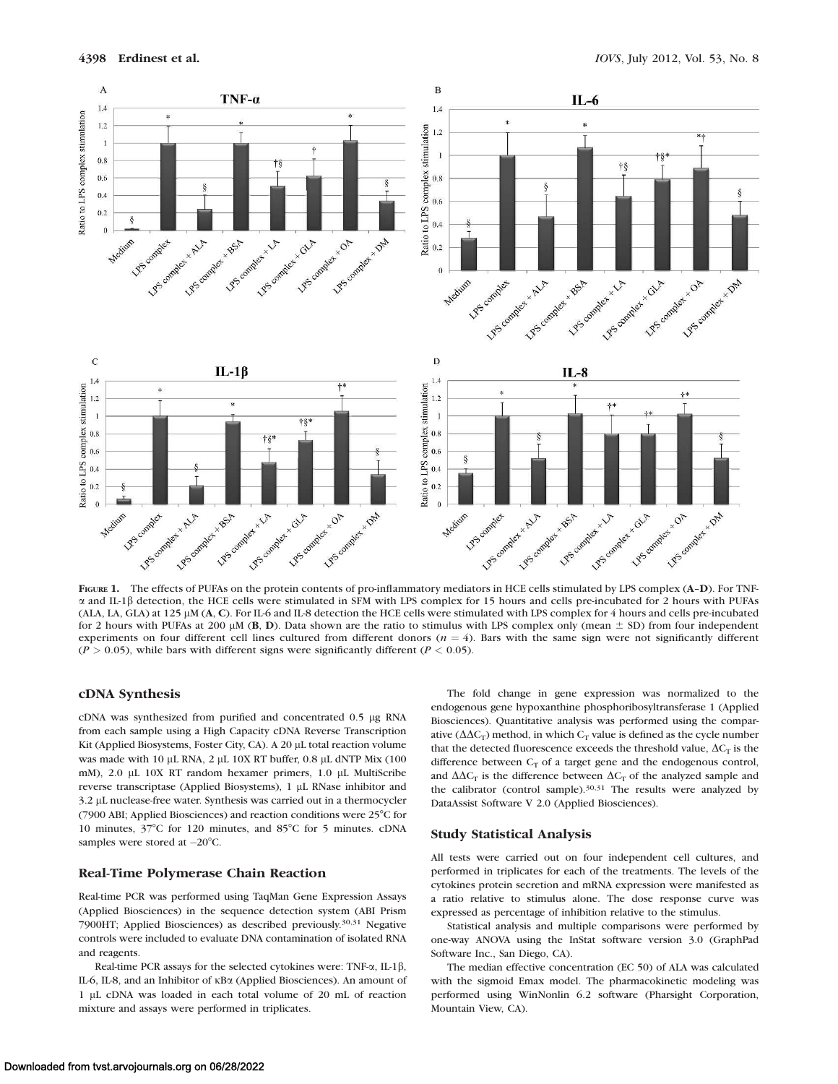

FIGURE 1. The effects of PUFAs on the protein contents of pro-inflammatory mediators in HCE cells stimulated by LPS complex (A-D). For TNFa and IL-1b detection, the HCE cells were stimulated in SFM with LPS complex for 15 hours and cells pre-incubated for 2 hours with PUFAs (ALA, LA, GLA) at 125 lM (A, C). For IL-6 and IL-8 detection the HCE cells were stimulated with LPS complex for 4 hours and cells pre-incubated for 2 hours with PUFAs at 200  $\mu$ M (B, D). Data shown are the ratio to stimulus with LPS complex only (mean  $\pm$  SD) from four independent experiments on four different cell lines cultured from different donors  $(n = 4)$ . Bars with the same sign were not significantly different  $(P > 0.05)$ , while bars with different signs were significantly different  $(P < 0.05)$ .

# cDNA Synthesis

cDNA was synthesized from purified and concentrated 0.5 µg RNA from each sample using a High Capacity cDNA Reverse Transcription Kit (Applied Biosystems, Foster City, CA). A 20 µL total reaction volume was made with 10  $\mu$ L RNA, 2  $\mu$ L 10X RT buffer, 0.8  $\mu$ L dNTP Mix (100 mM), 2.0 µL 10X RT random hexamer primers, 1.0 µL MultiScribe reverse transcriptase (Applied Biosystems), 1 µL RNase inhibitor and 3.2 lL nuclease-free water. Synthesis was carried out in a thermocycler (7900 ABI; Applied Biosciences) and reaction conditions were  $25^{\circ}$ C for 10 minutes,  $37^{\circ}$ C for 120 minutes, and  $85^{\circ}$ C for 5 minutes. cDNA samples were stored at  $-20^{\circ}$ C.

#### Real-Time Polymerase Chain Reaction

Real-time PCR was performed using TaqMan Gene Expression Assays (Applied Biosciences) in the sequence detection system (ABI Prism 7900HT; Applied Biosciences) as described previously.30,31 Negative controls were included to evaluate DNA contamination of isolated RNA and reagents.

Real-time PCR assays for the selected cytokines were: TNF- $\alpha$ , IL-1 $\beta$ , IL-6, IL-8, and an Inhibitor of  $\kappa$ Ba (Applied Biosciences). An amount of 1 lL cDNA was loaded in each total volume of 20 mL of reaction mixture and assays were performed in triplicates.

The fold change in gene expression was normalized to the endogenous gene hypoxanthine phosphoribosyltransferase 1 (Applied Biosciences). Quantitative analysis was performed using the comparative ( $\Delta\Delta C_T$ ) method, in which  $C_T$  value is defined as the cycle number that the detected fluorescence exceeds the threshold value,  $\Delta C_T$  is the difference between  $C_T$  of a target gene and the endogenous control, and  $\Delta\Delta C_T$  is the difference between  $\Delta C_T$  of the analyzed sample and the calibrator (control sample). $30,31$  The results were analyzed by DataAssist Software V 2.0 (Applied Biosciences).

#### Study Statistical Analysis

All tests were carried out on four independent cell cultures, and performed in triplicates for each of the treatments. The levels of the cytokines protein secretion and mRNA expression were manifested as a ratio relative to stimulus alone. The dose response curve was expressed as percentage of inhibition relative to the stimulus.

Statistical analysis and multiple comparisons were performed by one-way ANOVA using the InStat software version 3.0 (GraphPad Software Inc., San Diego, CA).

The median effective concentration (EC 50) of ALA was calculated with the sigmoid Emax model. The pharmacokinetic modeling was performed using WinNonlin 6.2 software (Pharsight Corporation, Mountain View, CA).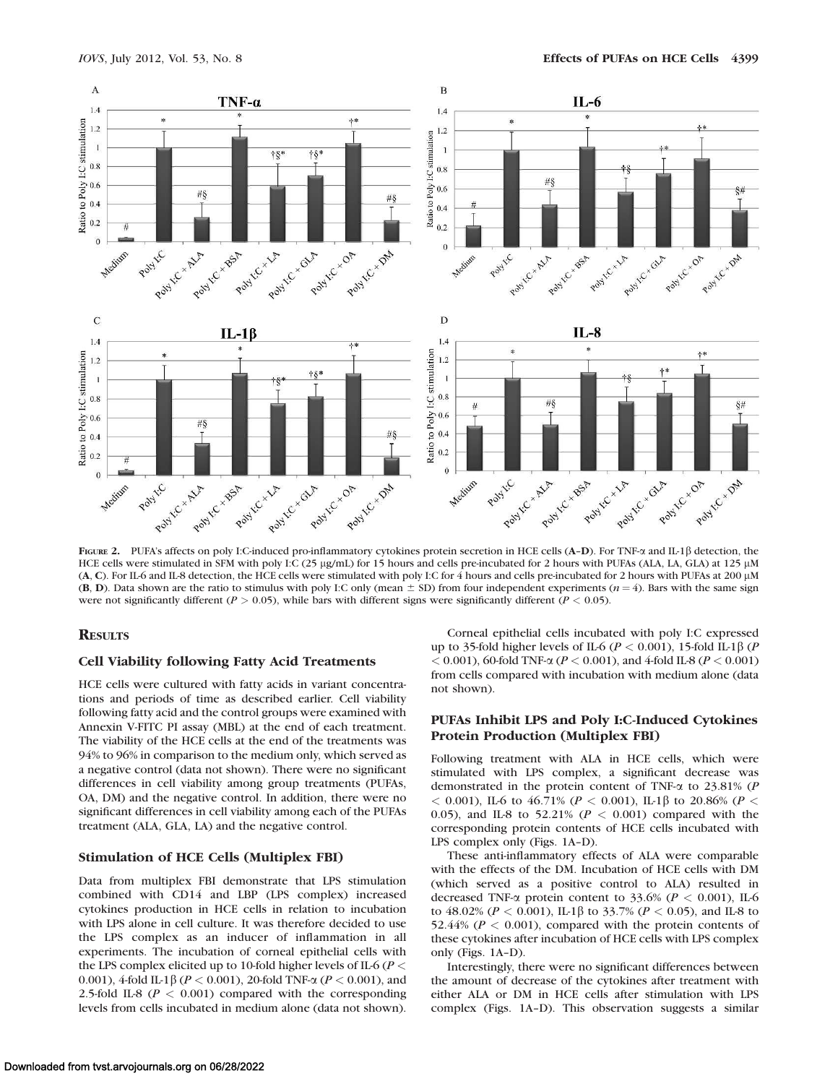

FIGURE 2. PUFA's affects on poly I:C-induced pro-inflammatory cytokines protein secretion in HCE cells (A-D). For TNF- $\alpha$  and IL-1 $\beta$  detection, the HCE cells were stimulated in SFM with poly I:C (25 µg/mL) for 15 hours and cells pre-incubated for 2 hours with PUFAs (ALA, LA, GLA) at 125 µM (A, C). For IL-6 and IL-8 detection, the HCE cells were stimulated with poly I:C for 4 hours and cells pre-incubated for 2 hours with PUFAs at 200 lM (B, D). Data shown are the ratio to stimulus with poly I:C only (mean  $\pm$  SD) from four independent experiments ( $n = 4$ ). Bars with the same sign were not significantly different ( $P > 0.05$ ), while bars with different signs were significantly different ( $P < 0.05$ ).

## **RESULTS**

## Cell Viability following Fatty Acid Treatments

HCE cells were cultured with fatty acids in variant concentrations and periods of time as described earlier. Cell viability following fatty acid and the control groups were examined with Annexin V-FITC PI assay (MBL) at the end of each treatment. The viability of the HCE cells at the end of the treatments was 94% to 96% in comparison to the medium only, which served as a negative control (data not shown). There were no significant differences in cell viability among group treatments (PUFAs, OA, DM) and the negative control. In addition, there were no significant differences in cell viability among each of the PUFAs treatment (ALA, GLA, LA) and the negative control.

# Stimulation of HCE Cells (Multiplex FBI)

Data from multiplex FBI demonstrate that LPS stimulation combined with CD14 and LBP (LPS complex) increased cytokines production in HCE cells in relation to incubation with LPS alone in cell culture. It was therefore decided to use the LPS complex as an inducer of inflammation in all experiments. The incubation of corneal epithelial cells with the LPS complex elicited up to 10-fold higher levels of IL-6 ( $P$  < 0.001), 4-fold IL-1 $\beta$  ( $P < 0.001$ ), 20-fold TNF- $\alpha$  ( $P < 0.001$ ), and 2.5-fold IL-8 ( $P < 0.001$ ) compared with the corresponding levels from cells incubated in medium alone (data not shown).

Corneal epithelial cells incubated with poly I:C expressed up to 35-fold higher levels of IL-6 ( $P < 0.001$ ), 15-fold IL-1 $\beta$  ( $P$ )  $< 0.001$ ), 60-fold TNF- $\alpha$  ( $P < 0.001$ ), and 4-fold IL-8 ( $P < 0.001$ ) from cells compared with incubation with medium alone (data not shown).

# PUFAs Inhibit LPS and Poly I:C-Induced Cytokines Protein Production (Multiplex FBI)

Following treatment with ALA in HCE cells, which were stimulated with LPS complex, a significant decrease was demonstrated in the protein content of TNF-a to 23.81% (P  $<$  0.001), IL-6 to 46.71% (P  $<$  0.001), IL-1 $\beta$  to 20.86% (P  $<$ 0.05), and IL-8 to 52.21% ( $P < 0.001$ ) compared with the corresponding protein contents of HCE cells incubated with LPS complex only (Figs. 1A–D).

These anti-inflammatory effects of ALA were comparable with the effects of the DM. Incubation of HCE cells with DM (which served as a positive control to ALA) resulted in decreased TNF- $\alpha$  protein content to 33.6% ( $P < 0.001$ ), IL-6 to 48.02% ( $P < 0.001$ ), IL-1 $\beta$  to 33.7% ( $P < 0.05$ ), and IL-8 to 52.44% ( $P < 0.001$ ), compared with the protein contents of these cytokines after incubation of HCE cells with LPS complex only (Figs. 1A–D).

Interestingly, there were no significant differences between the amount of decrease of the cytokines after treatment with either ALA or DM in HCE cells after stimulation with LPS complex (Figs. 1A–D). This observation suggests a similar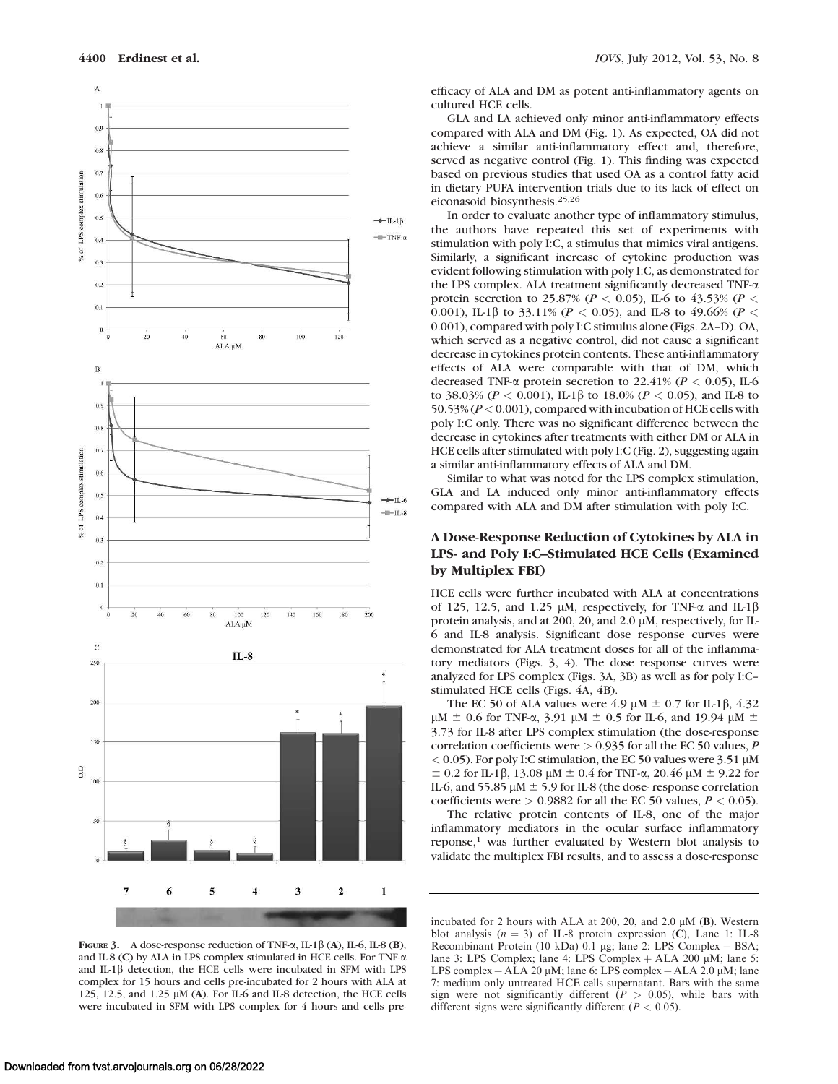

efficacy of ALA and DM as potent anti-inflammatory agents on cultured HCE cells.

GLA and LA achieved only minor anti-inflammatory effects compared with ALA and DM (Fig. 1). As expected, OA did not achieve a similar anti-inflammatory effect and, therefore, served as negative control (Fig. 1). This finding was expected based on previous studies that used OA as a control fatty acid in dietary PUFA intervention trials due to its lack of effect on eiconasoid biosynthesis.25,26

In order to evaluate another type of inflammatory stimulus, the authors have repeated this set of experiments with stimulation with poly I:C, a stimulus that mimics viral antigens. Similarly, a significant increase of cytokine production was evident following stimulation with poly I:C, as demonstrated for the LPS complex. ALA treatment significantly decreased TNF-a protein secretion to 25.87% ( $P < 0.05$ ), IL-6 to 43.53% ( $P <$ 0.001), IL-1 $\beta$  to 33.11% ( $P < 0.05$ ), and IL-8 to 49.66% ( $P <$ 0.001), compared with poly I:C stimulus alone (Figs. 2A–D). OA, which served as a negative control, did not cause a significant decrease in cytokines protein contents. These anti-inflammatory effects of ALA were comparable with that of DM, which decreased TNF- $\alpha$  protein secretion to 22.41% ( $P < 0.05$ ), IL-6 to 38.03% ( $P < 0.001$ ), IL-1 $\beta$  to 18.0% ( $P < 0.05$ ), and IL-8 to 50.53% ( $P < 0.001$ ), compared with incubation of HCE cells with poly I:C only. There was no significant difference between the decrease in cytokines after treatments with either DM or ALA in HCE cells after stimulated with poly I:C (Fig. 2), suggesting again a similar anti-inflammatory effects of ALA and DM.

Similar to what was noted for the LPS complex stimulation, GLA and LA induced only minor anti-inflammatory effects compared with ALA and DM after stimulation with poly I:C.

# A Dose-Response Reduction of Cytokines by ALA in LPS- and Poly I:C–Stimulated HCE Cells (Examined by Multiplex FBI)

HCE cells were further incubated with ALA at concentrations of 125, 12.5, and 1.25  $\mu$ M, respectively, for TNF- $\alpha$  and IL-1 $\beta$ protein analysis, and at 200, 20, and 2.0  $\mu$ M, respectively, for IL-6 and IL-8 analysis. Significant dose response curves were demonstrated for ALA treatment doses for all of the inflammatory mediators (Figs. 3, 4). The dose response curves were analyzed for LPS complex (Figs. 3A, 3B) as well as for poly I:C– stimulated HCE cells (Figs. 4A, 4B).

The EC 50 of ALA values were 4.9  $\mu$ M  $\pm$  0.7 for IL-1 $\beta$ , 4.32  $\mu$ M  $\pm$  0.6 for TNF-a, 3.91  $\mu$ M  $\pm$  0.5 for IL-6, and 19.94  $\mu$ M  $\pm$ 3.73 for IL-8 after LPS complex stimulation (the dose-response correlation coefficients were  $> 0.935$  for all the EC 50 values, P  $<$  0.05). For poly I:C stimulation, the EC 50 values were 3.51  $\mu$ M  $\pm$  0.2 for IL-1 $\beta$ , 13.08  $\mu$ M  $\pm$  0.4 for TNF- $\alpha$ , 20.46  $\mu$ M  $\pm$  9.22 for IL-6, and 55.85  $\mu$ M  $\pm$  5.9 for IL-8 (the dose- response correlation coefficients were  $> 0.9882$  for all the EC 50 values,  $P < 0.05$ ).

The relative protein contents of IL-8, one of the major inflammatory mediators in the ocular surface inflammatory reponse,<sup>1</sup> was further evaluated by Western blot analysis to validate the multiplex FBI results, and to assess a dose-response

FIGURE 3. A dose-response reduction of TNF- $\alpha$ , IL-1 $\beta$  (A), IL-6, IL-8 (B), and IL-8 (C) by ALA in LPS complex stimulated in HCE cells. For TNF- $\alpha$ and IL-1 $\beta$  detection, the HCE cells were incubated in SFM with LPS complex for 15 hours and cells pre-incubated for 2 hours with ALA at 125, 12.5, and 1.25  $\mu$ M (A). For IL-6 and IL-8 detection, the HCE cells were incubated in SFM with LPS complex for 4 hours and cells pre-

incubated for 2 hours with ALA at 200, 20, and 2.0  $\mu$ M (B). Western blot analysis ( $n = 3$ ) of IL-8 protein expression (C), Lane 1: IL-8 Recombinant Protein (10 kDa) 0.1 µg; lane 2: LPS Complex + BSA; lane 3: LPS Complex; lane 4: LPS Complex  $+$  ALA 200  $\mu$ M; lane 5: LPS complex + ALA 20  $\mu$ M; lane 6: LPS complex + ALA 2.0  $\mu$ M; lane 7: medium only untreated HCE cells supernatant. Bars with the same sign were not significantly different ( $P > 0.05$ ), while bars with different signs were significantly different ( $P < 0.05$ ).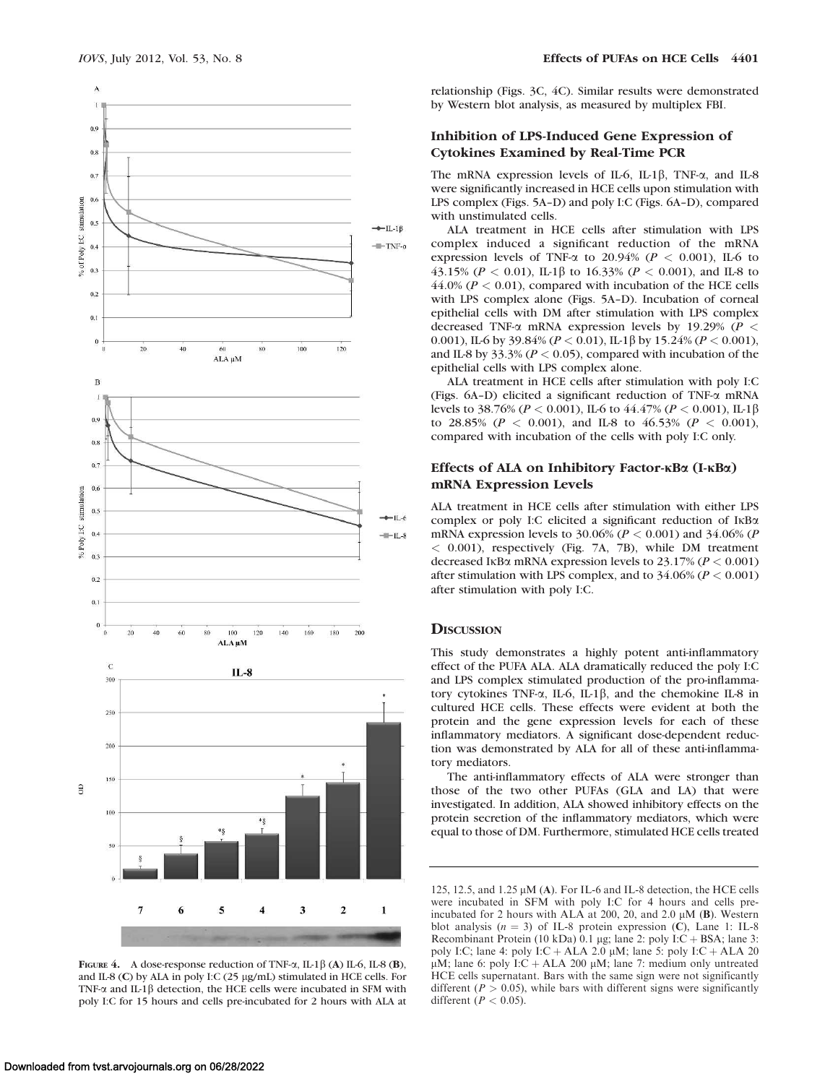

FIGURE 4. A dose-response reduction of TNF- $\alpha$ , IL-1 $\beta$  (A) IL-6, IL-8 (B), and IL-8 (C) by ALA in poly I:C (25 µg/mL) stimulated in HCE cells. For TNF- $\alpha$  and IL-1 $\beta$  detection, the HCE cells were incubated in SFM with poly I:C for 15 hours and cells pre-incubated for 2 hours with ALA at

relationship (Figs. 3C, 4C). Similar results were demonstrated by Western blot analysis, as measured by multiplex FBI.

## Inhibition of LPS-Induced Gene Expression of Cytokines Examined by Real-Time PCR

The mRNA expression levels of IL-6, IL-1 $\beta$ , TNF- $\alpha$ , and IL-8 were significantly increased in HCE cells upon stimulation with LPS complex (Figs. 5A–D) and poly I:C (Figs. 6A–D), compared with unstimulated cells.

ALA treatment in HCE cells after stimulation with LPS complex induced a significant reduction of the mRNA expression levels of TNF- $\alpha$  to 20.94% ( $P < 0.001$ ), IL-6 to 43.15% ( $P < 0.01$ ), IL-1 $\beta$  to 16.33% ( $P < 0.001$ ), and IL-8 to  $44.0\%$  ( $P < 0.01$ ), compared with incubation of the HCE cells with LPS complex alone (Figs. 5A–D). Incubation of corneal epithelial cells with DM after stimulation with LPS complex decreased TNF- $\alpha$  mRNA expression levels by 19.29% ( $P <$ 0.001), IL-6 by 39.84% ( $P < 0.01$ ), IL-1 $\beta$  by 15.24% ( $P < 0.001$ ), and IL-8 by 33.3% ( $P < 0.05$ ), compared with incubation of the epithelial cells with LPS complex alone.

ALA treatment in HCE cells after stimulation with poly I:C (Figs. 6A–D) elicited a significant reduction of TNF-a mRNA levels to 38.76% ( $P < 0.001$ ), IL-6 to 44.47% ( $P < 0.001$ ), IL-1 $\beta$ to 28.85% ( $P < 0.001$ ), and IL-8 to 46.53% ( $P < 0.001$ ), compared with incubation of the cells with poly I:C only.

# Effects of ALA on Inhibitory Factor- $\kappa$ Ba (I- $\kappa$ Ba) mRNA Expression Levels

ALA treatment in HCE cells after stimulation with either LPS complex or poly I:C elicited a significant reduction of  $I \kappa B \alpha$ mRNA expression levels to 30.06% ( $P < 0.001$ ) and 34.06% ( $P$ < 0.001), respectively (Fig. 7A, 7B), while DM treatment decreased IKB $\alpha$  mRNA expression levels to 23.17% ( $P < 0.001$ ) after stimulation with LPS complex, and to  $34.06\%$  ( $P < 0.001$ ) after stimulation with poly I:C.

## **DISCUSSION**

This study demonstrates a highly potent anti-inflammatory effect of the PUFA ALA. ALA dramatically reduced the poly I:C and LPS complex stimulated production of the pro-inflammatory cytokines TNF- $\alpha$ , IL-6, IL-1 $\beta$ , and the chemokine IL-8 in cultured HCE cells. These effects were evident at both the protein and the gene expression levels for each of these inflammatory mediators. A significant dose-dependent reduction was demonstrated by ALA for all of these anti-inflammatory mediators.

The anti-inflammatory effects of ALA were stronger than those of the two other PUFAs (GLA and LA) that were investigated. In addition, ALA showed inhibitory effects on the protein secretion of the inflammatory mediators, which were equal to those of DM. Furthermore, stimulated HCE cells treated

<sup>125, 12.5,</sup> and 1.25  $\mu$ M (A). For IL-6 and IL-8 detection, the HCE cells were incubated in SFM with poly I:C for 4 hours and cells preincubated for 2 hours with ALA at 200, 20, and 2.0  $\mu$ M (B). Western blot analysis ( $n = 3$ ) of IL-8 protein expression (C), Lane 1: IL-8 Recombinant Protein (10 kDa) 0.1 µg; lane 2: poly I:C + BSA; lane 3: poly I:C; lane 4: poly I:C + ALA 2.0  $\mu$ M; lane 5: poly I:C + ALA 20  $\mu$ M; lane 6: poly I:C + ALA 200  $\mu$ M; lane 7: medium only untreated HCE cells supernatant. Bars with the same sign were not significantly different ( $P > 0.05$ ), while bars with different signs were significantly different  $(P < 0.05)$ .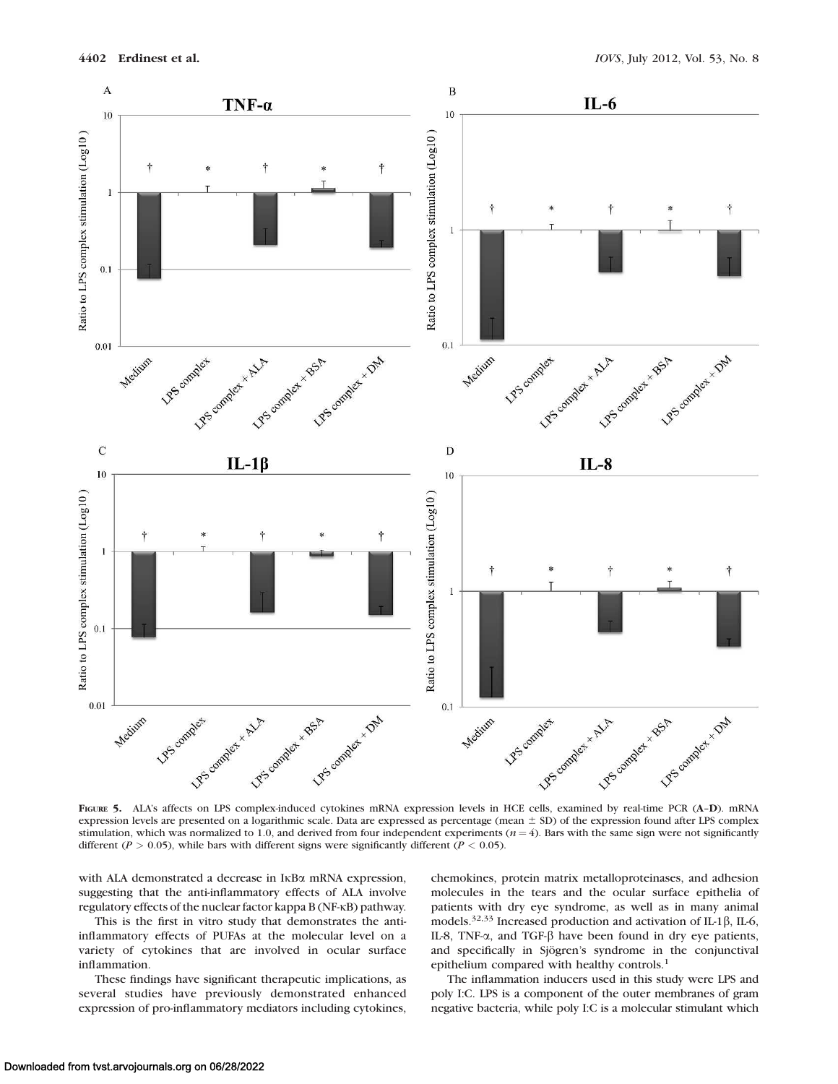

FIGURE 5. ALA's affects on LPS complex-induced cytokines mRNA expression levels in HCE cells, examined by real-time PCR (A-D). mRNA expression levels are presented on a logarithmic scale. Data are expressed as percentage (mean  $\pm$  SD) of the expression found after LPS complex stimulation, which was normalized to 1.0, and derived from four independent experiments ( $n = 4$ ). Bars with the same sign were not significantly different ( $P > 0.05$ ), while bars with different signs were significantly different ( $P < 0.05$ ).

with ALA demonstrated a decrease in  $I$ <sub>KB $\alpha$ </sub> mRNA expression, suggesting that the anti-inflammatory effects of ALA involve regulatory effects of the nuclear factor kappa B (NF-KB) pathway.

This is the first in vitro study that demonstrates the antiinflammatory effects of PUFAs at the molecular level on a variety of cytokines that are involved in ocular surface inflammation.

These findings have significant therapeutic implications, as several studies have previously demonstrated enhanced expression of pro-inflammatory mediators including cytokines, chemokines, protein matrix metalloproteinases, and adhesion molecules in the tears and the ocular surface epithelia of patients with dry eye syndrome, as well as in many animal models.<sup>32,33</sup> Increased production and activation of IL-1 $\beta$ , IL-6, IL-8, TNF- $\alpha$ , and TGF- $\beta$  have been found in dry eye patients, and specifically in Sjögren's syndrome in the conjunctival epithelium compared with healthy controls.<sup>1</sup>

The inflammation inducers used in this study were LPS and poly I:C. LPS is a component of the outer membranes of gram negative bacteria, while poly I:C is a molecular stimulant which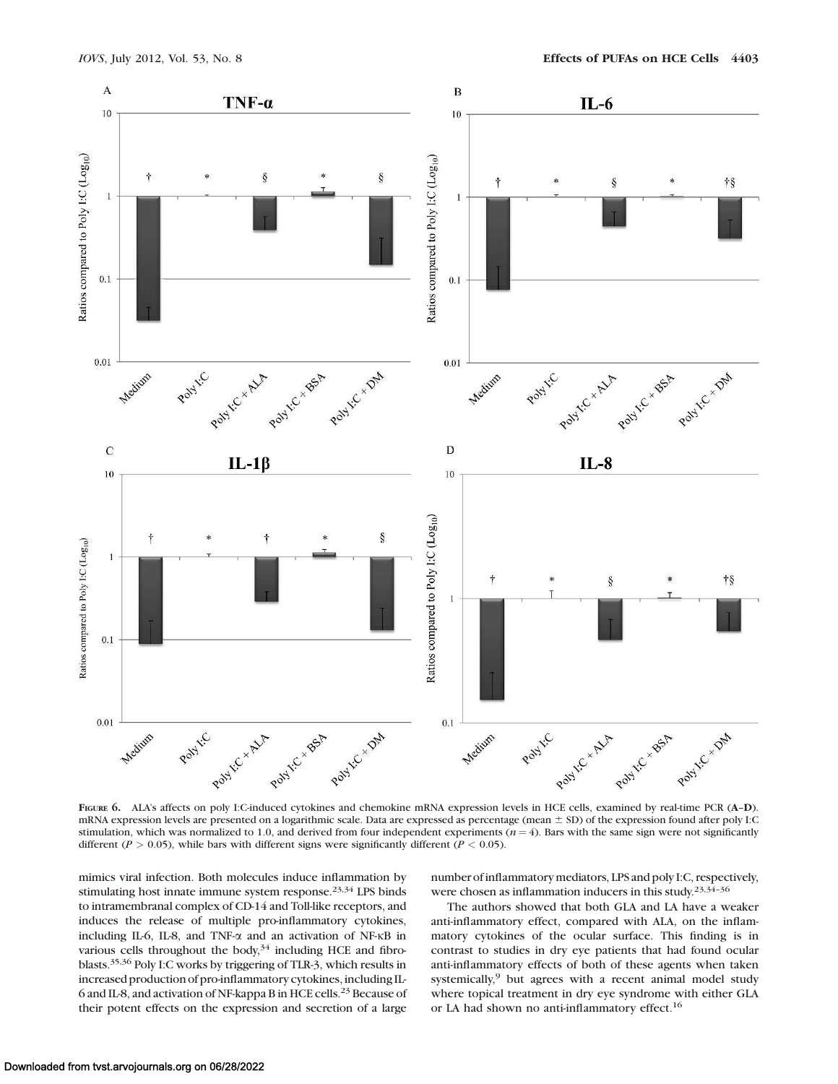

FIGURE 6. ALA's affects on poly I:C-induced cytokines and chemokine mRNA expression levels in HCE cells, examined by real-time PCR (A-D). mRNA expression levels are presented on a logarithmic scale. Data are expressed as percentage (mean  $\pm$  SD) of the expression found after poly I:C stimulation, which was normalized to 1.0, and derived from four independent experiments ( $n = 4$ ). Bars with the same sign were not significantly different ( $P > 0.05$ ), while bars with different signs were significantly different ( $P < 0.05$ ).

mimics viral infection. Both molecules induce inflammation by stimulating host innate immune system response. $23,34$  LPS binds to intramembranal complex of CD-14 and Toll-like receptors, and induces the release of multiple pro-inflammatory cytokines, including IL-6, IL-8, and TNF- $\alpha$  and an activation of NF- $\kappa$ B in various cells throughout the body, $34$  including HCE and fibroblasts.35,36 Poly I:C works by triggering of TLR-3, which results in increased production of pro-inflammatory cytokines, including IL-6 and IL-8, and activation of NF-kappa B in HCE cells.23 Because of their potent effects on the expression and secretion of a large

number of inflammatory mediators, LPS and poly I:C, respectively, were chosen as inflammation inducers in this study.<sup>23,34-36</sup>

The authors showed that both GLA and LA have a weaker anti-inflammatory effect, compared with ALA, on the inflammatory cytokines of the ocular surface. This finding is in contrast to studies in dry eye patients that had found ocular anti-inflammatory effects of both of these agents when taken systemically,<sup>9</sup> but agrees with a recent animal model study where topical treatment in dry eye syndrome with either GLA or LA had shown no anti-inflammatory effect.<sup>16</sup>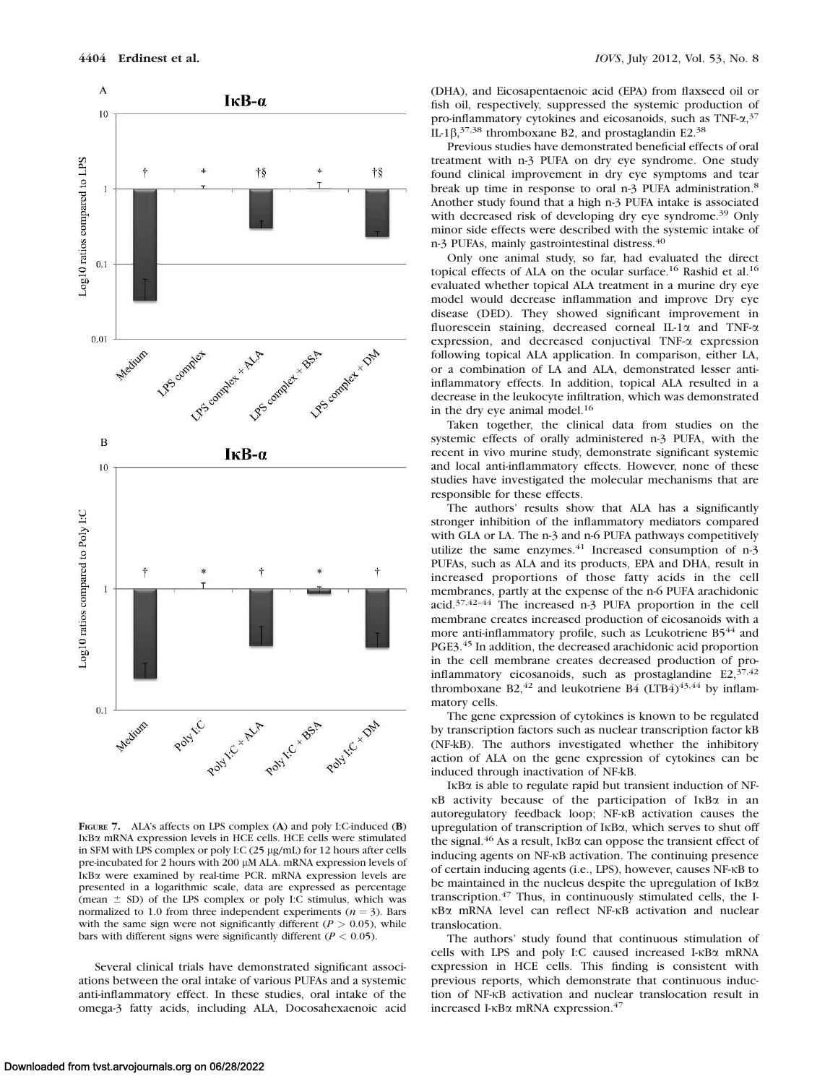

FIGURE 7. ALA's affects on LPS complex (A) and poly I:C-induced (B) IκBα mRNA expression levels in HCE cells. HCE cells were stimulated in SFM with LPS complex or poly I:C (25 µg/mL) for 12 hours after cells pre-incubated for 2 hours with 200 µM ALA. mRNA expression levels of IKBa were examined by real-time PCR. mRNA expression levels are presented in a logarithmic scale, data are expressed as percentage (mean  $\pm$  SD) of the LPS complex or poly I:C stimulus, which was normalized to 1.0 from three independent experiments ( $n = 3$ ). Bars with the same sign were not significantly different ( $P > 0.05$ ), while bars with different signs were significantly different ( $P < 0.05$ ).

Several clinical trials have demonstrated significant associations between the oral intake of various PUFAs and a systemic anti-inflammatory effect. In these studies, oral intake of the omega-3 fatty acids, including ALA, Docosahexaenoic acid (DHA), and Eicosapentaenoic acid (EPA) from flaxseed oil or fish oil, respectively, suppressed the systemic production of pro-inflammatory cytokines and eicosanoids, such as TNF- $\alpha$ ,<sup>37</sup> IL-1 $\beta$ ,<sup>37,38</sup> thromboxane B2, and prostaglandin E2.<sup>38</sup>

Previous studies have demonstrated beneficial effects of oral treatment with n-3 PUFA on dry eye syndrome. One study found clinical improvement in dry eye symptoms and tear break up time in response to oral n-3 PUFA administration.<sup>8</sup> Another study found that a high n-3 PUFA intake is associated with decreased risk of developing dry eye syndrome.<sup>39</sup> Only minor side effects were described with the systemic intake of n-3 PUFAs, mainly gastrointestinal distress.<sup>40</sup>

Only one animal study, so far, had evaluated the direct topical effects of ALA on the ocular surface.<sup>16</sup> Rashid et al.<sup>16</sup> evaluated whether topical ALA treatment in a murine dry eye model would decrease inflammation and improve Dry eye disease (DED). They showed significant improvement in fluorescein staining, decreased corneal IL-1a and TNF-a expression, and decreased conjuctival TNF-a expression following topical ALA application. In comparison, either LA, or a combination of LA and ALA, demonstrated lesser antiinflammatory effects. In addition, topical ALA resulted in a decrease in the leukocyte infiltration, which was demonstrated in the dry eye animal model.<sup>16</sup>

Taken together, the clinical data from studies on the systemic effects of orally administered n-3 PUFA, with the recent in vivo murine study, demonstrate significant systemic and local anti-inflammatory effects. However, none of these studies have investigated the molecular mechanisms that are responsible for these effects.

The authors' results show that ALA has a significantly stronger inhibition of the inflammatory mediators compared with GLA or LA. The n-3 and n-6 PUFA pathways competitively utilize the same enzymes.<sup>41</sup> Increased consumption of n-3 PUFAs, such as ALA and its products, EPA and DHA, result in increased proportions of those fatty acids in the cell membranes, partly at the expense of the n-6 PUFA arachidonic acid.37,42–44 The increased n-3 PUFA proportion in the cell membrane creates increased production of eicosanoids with a more anti-inflammatory profile, such as Leukotriene B5<sup>44</sup> and PGE3.<sup>45</sup> In addition, the decreased arachidonic acid proportion in the cell membrane creates decreased production of proinflammatory eicosanoids, such as prostaglandine  $E2$ ,  $37,42$ thromboxane B2,<sup>42</sup> and leukotriene B4 (LTB4)<sup>43,44</sup> by inflammatory cells.

The gene expression of cytokines is known to be regulated by transcription factors such as nuclear transcription factor kB (NF-kB). The authors investigated whether the inhibitory action of ALA on the gene expression of cytokines can be induced through inactivation of NF-kB.

IKBa is able to regulate rapid but transient induction of NF- $\kappa$ B activity because of the participation of I $\kappa$ B $\alpha$  in an autoregulatory feedback loop; NF-KB activation causes the upregulation of transcription of IKBa, which serves to shut off the signal.<sup>46</sup> As a result, I<sub>KB $\alpha$ </sub> can oppose the transient effect of inducing agents on NF-KB activation. The continuing presence of certain inducing agents (i.e., LPS), however, causes NF- $\kappa$ B to be maintained in the nucleus despite the upregulation of  $I\kappa B\alpha$ transcription.<sup>47</sup> Thus, in continuously stimulated cells, the IκBα mRNA level can reflect NF-κB activation and nuclear translocation.

The authors' study found that continuous stimulation of cells with LPS and poly I:C caused increased I-KBa mRNA expression in HCE cells. This finding is consistent with previous reports, which demonstrate that continuous induction of NF-KB activation and nuclear translocation result in increased I- $\kappa$ B $\alpha$  mRNA expression.<sup>47</sup>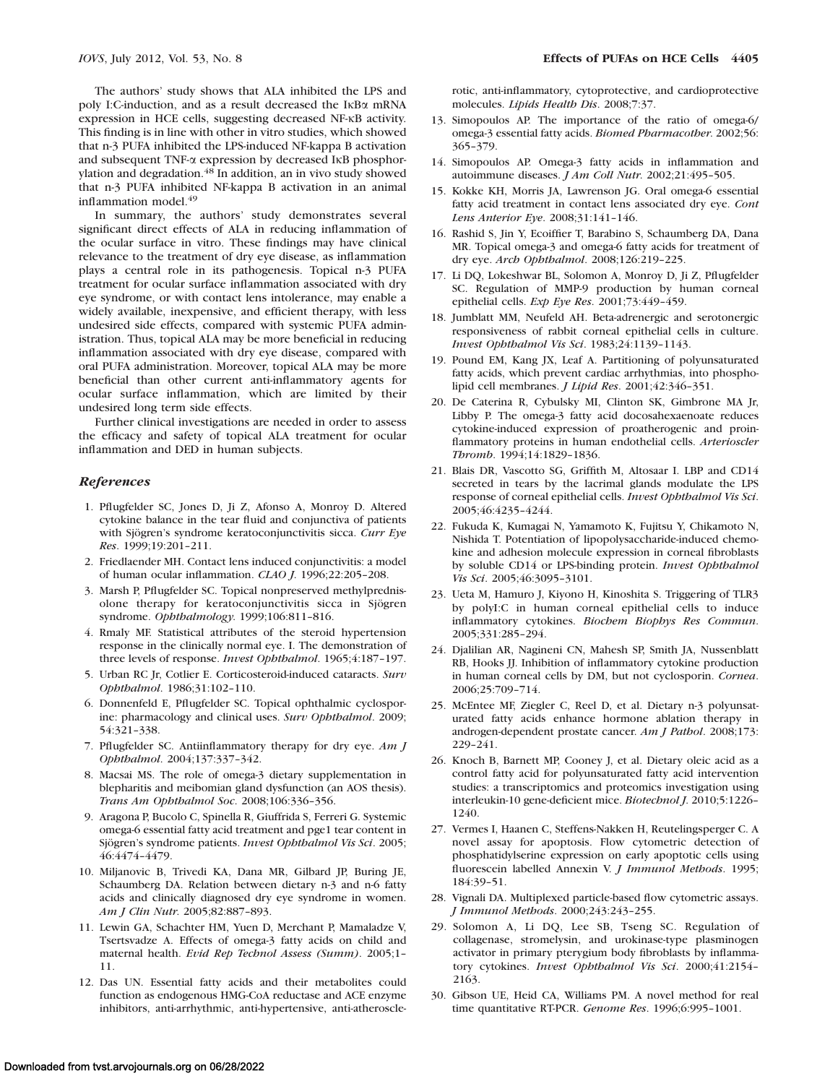The authors' study shows that ALA inhibited the LPS and poly I:C-induction, and as a result decreased the IKBa mRNA expression in HCE cells, suggesting decreased NF-KB activity. This finding is in line with other in vitro studies, which showed that n-3 PUFA inhibited the LPS-induced NF-kappa B activation and subsequent TNF- $\alpha$  expression by decreased IKB phosphorylation and degradation.<sup>48</sup> In addition, an in vivo study showed that n-3 PUFA inhibited NF-kappa B activation in an animal inflammation model.<sup>49</sup>

In summary, the authors' study demonstrates several significant direct effects of ALA in reducing inflammation of the ocular surface in vitro. These findings may have clinical relevance to the treatment of dry eye disease, as inflammation plays a central role in its pathogenesis. Topical n-3 PUFA treatment for ocular surface inflammation associated with dry eye syndrome, or with contact lens intolerance, may enable a widely available, inexpensive, and efficient therapy, with less undesired side effects, compared with systemic PUFA administration. Thus, topical ALA may be more beneficial in reducing inflammation associated with dry eye disease, compared with oral PUFA administration. Moreover, topical ALA may be more beneficial than other current anti-inflammatory agents for ocular surface inflammation, which are limited by their undesired long term side effects.

Further clinical investigations are needed in order to assess the efficacy and safety of topical ALA treatment for ocular inflammation and DED in human subjects.

#### References

- 1. Pflugfelder SC, Jones D, Ji Z, Afonso A, Monroy D. Altered cytokine balance in the tear fluid and conjunctiva of patients with Sjögren's syndrome keratoconjunctivitis sicca. Curr Eye Res. 1999;19:201–211.
- 2. Friedlaender MH. Contact lens induced conjunctivitis: a model of human ocular inflammation. CLAO J. 1996;22:205–208.
- 3. Marsh P, Pflugfelder SC. Topical nonpreserved methylprednisolone therapy for keratoconjunctivitis sicca in Sjögren syndrome. Ophthalmology. 1999;106:811–816.
- 4. Rmaly MF. Statistical attributes of the steroid hypertension response in the clinically normal eye. I. The demonstration of three levels of response. Invest Ophthalmol. 1965;4:187-197.
- 5. Urban RC Jr, Cotlier E. Corticosteroid-induced cataracts. Surv Ophthalmol. 1986;31:102–110.
- 6. Donnenfeld E, Pflugfelder SC. Topical ophthalmic cyclosporine: pharmacology and clinical uses. Surv Ophthalmol. 2009; 54:321–338.
- 7. Pflugfelder SC. Antiinflammatory therapy for dry eye. Am J Ophthalmol. 2004;137:337–342.
- 8. Macsai MS. The role of omega-3 dietary supplementation in blepharitis and meibomian gland dysfunction (an AOS thesis). Trans Am Ophthalmol Soc. 2008;106:336–356.
- 9. Aragona P, Bucolo C, Spinella R, Giuffrida S, Ferreri G. Systemic omega-6 essential fatty acid treatment and pge1 tear content in Sjögren's syndrome patients. Invest Ophthalmol Vis Sci. 2005; 46:4474–4479.
- 10. Miljanovic B, Trivedi KA, Dana MR, Gilbard JP, Buring JE, Schaumberg DA. Relation between dietary n-3 and n-6 fatty acids and clinically diagnosed dry eye syndrome in women. Am J Clin Nutr. 2005;82:887–893.
- 11. Lewin GA, Schachter HM, Yuen D, Merchant P, Mamaladze V, Tsertsvadze A. Effects of omega-3 fatty acids on child and maternal health. Evid Rep Technol Assess (Summ). 2005;1– 11.
- 12. Das UN. Essential fatty acids and their metabolites could function as endogenous HMG-CoA reductase and ACE enzyme inhibitors, anti-arrhythmic, anti-hypertensive, anti-atheroscle-

rotic, anti-inflammatory, cytoprotective, and cardioprotective molecules. Lipids Health Dis. 2008;7:37.

- 13. Simopoulos AP. The importance of the ratio of omega-6/ omega-3 essential fatty acids. Biomed Pharmacother. 2002;56: 365–379.
- 14. Simopoulos AP. Omega-3 fatty acids in inflammation and autoimmune diseases. J Am Coll Nutr. 2002;21:495–505.
- 15. Kokke KH, Morris JA, Lawrenson JG. Oral omega-6 essential fatty acid treatment in contact lens associated dry eye. Cont Lens Anterior Eye. 2008;31:141–146.
- 16. Rashid S, Jin Y, Ecoiffier T, Barabino S, Schaumberg DA, Dana MR. Topical omega-3 and omega-6 fatty acids for treatment of dry eye. Arch Ophthalmol. 2008;126:219–225.
- 17. Li DQ, Lokeshwar BL, Solomon A, Monroy D, Ji Z, Pflugfelder SC. Regulation of MMP-9 production by human corneal epithelial cells. Exp Eye Res. 2001;73:449–459.
- 18. Jumblatt MM, Neufeld AH. Beta-adrenergic and serotonergic responsiveness of rabbit corneal epithelial cells in culture. Invest Ophthalmol Vis Sci. 1983;24:1139–1143.
- 19. Pound EM, Kang JX, Leaf A. Partitioning of polyunsaturated fatty acids, which prevent cardiac arrhythmias, into phospholipid cell membranes. *J Lipid Res.* 2001;42:346-351.
- 20. De Caterina R, Cybulsky MI, Clinton SK, Gimbrone MA Jr, Libby P. The omega-3 fatty acid docosahexaenoate reduces cytokine-induced expression of proatherogenic and proinflammatory proteins in human endothelial cells. Arterioscler Thromb. 1994;14:1829–1836.
- 21. Blais DR, Vascotto SG, Griffith M, Altosaar I. LBP and CD14 secreted in tears by the lacrimal glands modulate the LPS response of corneal epithelial cells. Invest Ophthalmol Vis Sci. 2005;46:4235–4244.
- 22. Fukuda K, Kumagai N, Yamamoto K, Fujitsu Y, Chikamoto N, Nishida T. Potentiation of lipopolysaccharide-induced chemokine and adhesion molecule expression in corneal fibroblasts by soluble CD14 or LPS-binding protein. Invest Ophthalmol Vis Sci. 2005;46:3095–3101.
- 23. Ueta M, Hamuro J, Kiyono H, Kinoshita S. Triggering of TLR3 by polyI:C in human corneal epithelial cells to induce inflammatory cytokines. Biochem Biophys Res Commun. 2005;331:285–294.
- 24. Djalilian AR, Nagineni CN, Mahesh SP, Smith JA, Nussenblatt RB, Hooks JJ. Inhibition of inflammatory cytokine production in human corneal cells by DM, but not cyclosporin. Cornea. 2006;25:709–714.
- 25. McEntee MF, Ziegler C, Reel D, et al. Dietary n-3 polyunsaturated fatty acids enhance hormone ablation therapy in androgen-dependent prostate cancer. Am J Pathol. 2008;173: 229–241.
- 26. Knoch B, Barnett MP, Cooney J, et al. Dietary oleic acid as a control fatty acid for polyunsaturated fatty acid intervention studies: a transcriptomics and proteomics investigation using interleukin-10 gene-deficient mice. Biotechnol J. 2010;5:1226– 1240.
- 27. Vermes I, Haanen C, Steffens-Nakken H, Reutelingsperger C. A novel assay for apoptosis. Flow cytometric detection of phosphatidylserine expression on early apoptotic cells using fluorescein labelled Annexin V. J Immunol Methods. 1995; 184:39–51.
- 28. Vignali DA. Multiplexed particle-based flow cytometric assays. J Immunol Methods. 2000;243:243–255.
- 29. Solomon A, Li DQ, Lee SB, Tseng SC. Regulation of collagenase, stromelysin, and urokinase-type plasminogen activator in primary pterygium body fibroblasts by inflammatory cytokines. Invest Ophthalmol Vis Sci. 2000;41:2154-2163.
- 30. Gibson UE, Heid CA, Williams PM. A novel method for real time quantitative RT-PCR. Genome Res. 1996;6:995–1001.